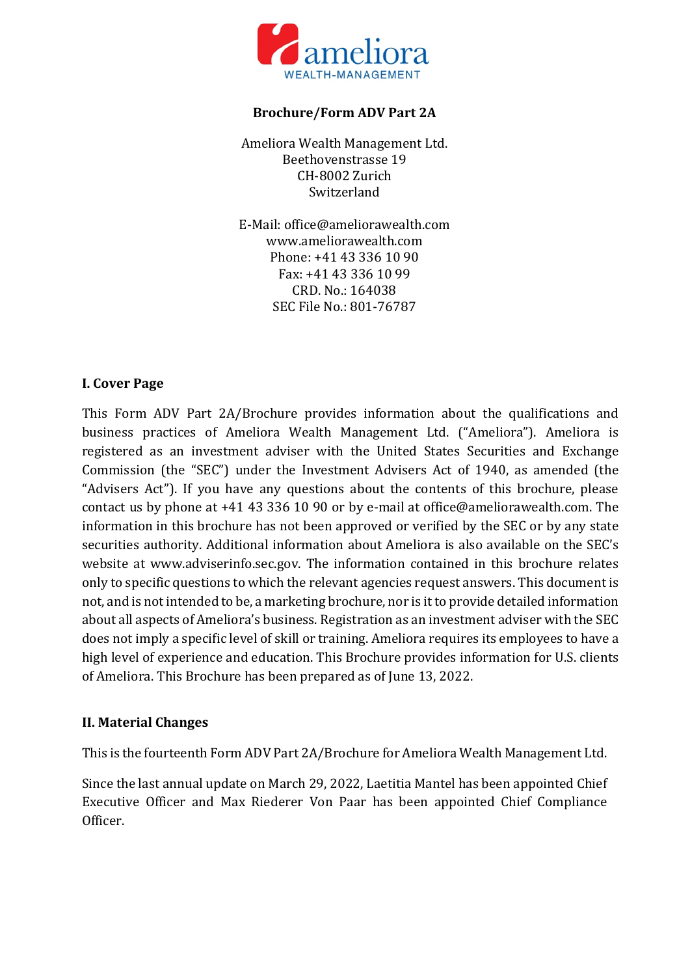

### **Brochure/Form ADV Part 2A**

Ameliora Wealth Management Ltd. Beethovenstrasse 19 CH-8002 Zurich Switzerland

E-Mail: office@ameliorawealth.com www.ameliorawealth.com Phone: +41 43 336 10 90 Fax: +41 43 336 10 99 CRD. No.: 164038 SEC File No.: 801-76787

### **I. Cover Page**

This Form ADV Part 2A/Brochure provides information about the qualifications and business practices of Ameliora Wealth Management Ltd. ("Ameliora"). Ameliora is registered as an investment adviser with the United States Securities and Exchange Commission (the "SEC") under the Investment Advisers Act of 1940, as amended (the "Advisers Act"). If you have any questions about the contents of this brochure, please contact us by phone at +41 43 336 10 90 or by e-mail at office@ameliorawealth.com. The information in this brochure has not been approved or verified by the SEC or by any state securities authority. Additional information about Ameliora is also available on the SEC's website at www.adviserinfo.sec.gov. The information contained in this brochure relates only to specific questions to which the relevant agencies request answers. This document is not, and is not intended to be, a marketing brochure, nor is it to provide detailed information about all aspects of Ameliora's business. Registration as an investment adviser with the SEC does not imply a specific level of skill or training. Ameliora requires its employees to have a high level of experience and education. This Brochure provides information for U.S. clients of Ameliora. This Brochure has been prepared as of June 13, 2022.

# **II. Material Changes**

This is the fourteenth Form ADV Part 2A/Brochure for Ameliora Wealth Management Ltd.

Since the last annual update on March 29, 2022, Laetitia Mantel has been appointed Chief Executive Officer and Max Riederer Von Paar has been appointed Chief Compliance Officer.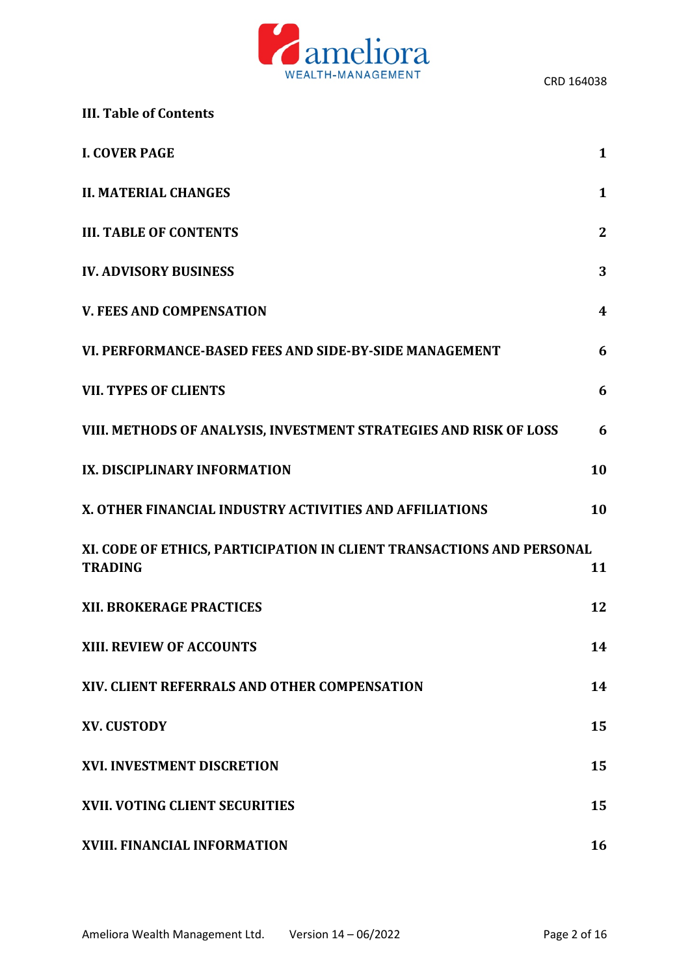

|  | <b>III. Table of Contents</b> |  |
|--|-------------------------------|--|
|  |                               |  |

| <b>I. COVER PAGE</b>                                                                    | $\mathbf{1}$ |  |
|-----------------------------------------------------------------------------------------|--------------|--|
| <b>II. MATERIAL CHANGES</b>                                                             | $\mathbf{1}$ |  |
| <b>III. TABLE OF CONTENTS</b>                                                           | $\mathbf{2}$ |  |
| <b>IV. ADVISORY BUSINESS</b>                                                            | 3            |  |
| <b>V. FEES AND COMPENSATION</b>                                                         | 4            |  |
| VI. PERFORMANCE-BASED FEES AND SIDE-BY-SIDE MANAGEMENT                                  | 6            |  |
| <b>VII. TYPES OF CLIENTS</b>                                                            | 6            |  |
| VIII. METHODS OF ANALYSIS, INVESTMENT STRATEGIES AND RISK OF LOSS                       | 6            |  |
| IX. DISCIPLINARY INFORMATION                                                            | 10           |  |
| X. OTHER FINANCIAL INDUSTRY ACTIVITIES AND AFFILIATIONS                                 | 10           |  |
| XI. CODE OF ETHICS, PARTICIPATION IN CLIENT TRANSACTIONS AND PERSONAL<br><b>TRADING</b> |              |  |
| XII. BROKERAGE PRACTICES                                                                | 12           |  |
| <b>XIII. REVIEW OF ACCOUNTS</b>                                                         | 14           |  |
| XIV. CLIENT REFERRALS AND OTHER COMPENSATION                                            | 14           |  |
| <b>XV. CUSTODY</b>                                                                      | 15           |  |
| <b>XVI. INVESTMENT DISCRETION</b>                                                       | 15           |  |
| <b>XVII. VOTING CLIENT SECURITIES</b>                                                   | 15           |  |
| XVIII. FINANCIAL INFORMATION                                                            | 16           |  |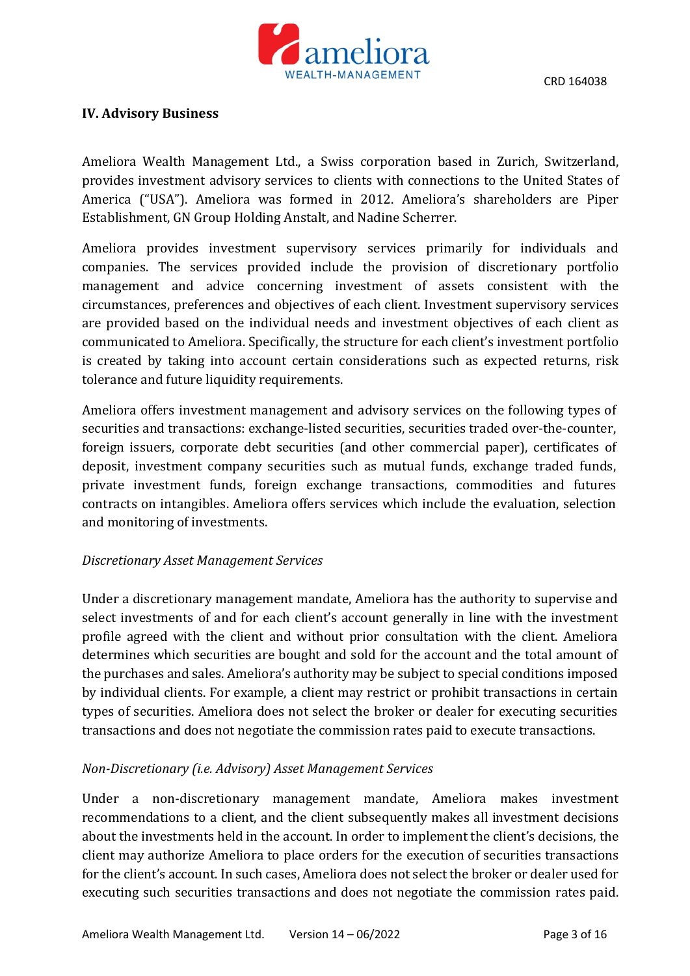

#### **IV. Advisory Business**

Ameliora Wealth Management Ltd., a Swiss corporation based in Zurich, Switzerland, provides investment advisory services to clients with connections to the United States of America ("USA"). Ameliora was formed in 2012. Ameliora's shareholders are Piper Establishment, GN Group Holding Anstalt, and Nadine Scherrer.

Ameliora provides investment supervisory services primarily for individuals and companies. The services provided include the provision of discretionary portfolio management and advice concerning investment of assets consistent with the circumstances, preferences and objectives of each client. Investment supervisory services are provided based on the individual needs and investment objectives of each client as communicated to Ameliora. Specifically, the structure for each client's investment portfolio is created by taking into account certain considerations such as expected returns, risk tolerance and future liquidity requirements.

Ameliora offers investment management and advisory services on the following types of securities and transactions: exchange-listed securities, securities traded over-the-counter, foreign issuers, corporate debt securities (and other commercial paper), certificates of deposit, investment company securities such as mutual funds, exchange traded funds, private investment funds, foreign exchange transactions, commodities and futures contracts on intangibles. Ameliora offers services which include the evaluation, selection and monitoring of investments.

#### *Discretionary Asset Management Services*

Under a discretionary management mandate, Ameliora has the authority to supervise and select investments of and for each client's account generally in line with the investment profile agreed with the client and without prior consultation with the client. Ameliora determines which securities are bought and sold for the account and the total amount of the purchases and sales. Ameliora's authority may be subject to special conditions imposed by individual clients. For example, a client may restrict or prohibit transactions in certain types of securities. Ameliora does not select the broker or dealer for executing securities transactions and does not negotiate the commission rates paid to execute transactions.

### *Non-Discretionary (i.e. Advisory) Asset Management Services*

Under a non-discretionary management mandate, Ameliora makes investment recommendations to a client, and the client subsequently makes all investment decisions about the investments held in the account. In order to implement the client's decisions, the client may authorize Ameliora to place orders for the execution of securities transactions for the client's account. In such cases, Ameliora does not select the broker or dealer used for executing such securities transactions and does not negotiate the commission rates paid.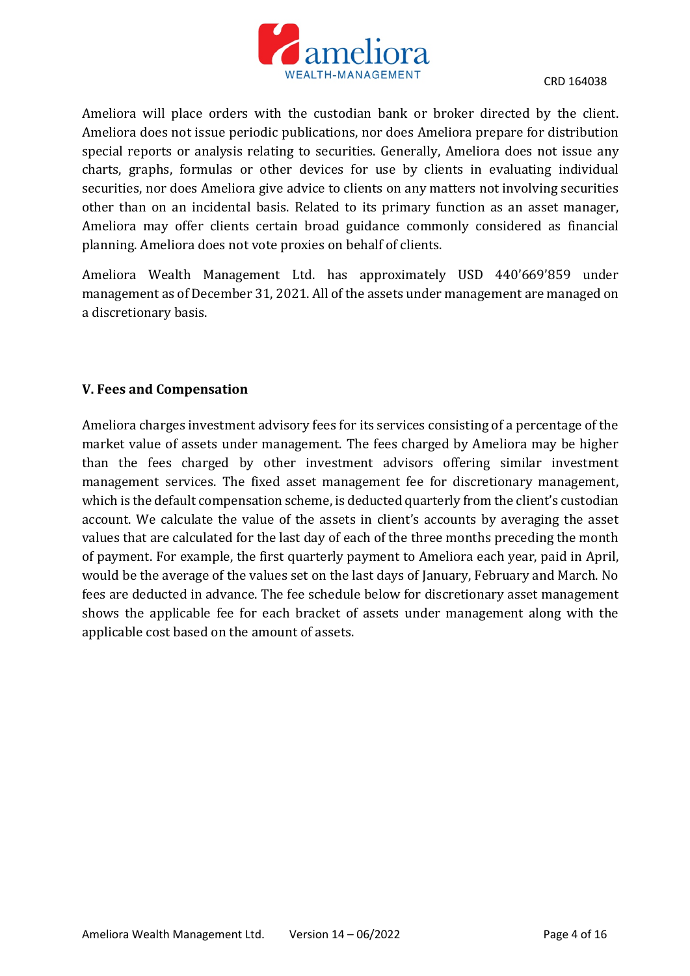

Ameliora will place orders with the custodian bank or broker directed by the client. Ameliora does not issue periodic publications, nor does Ameliora prepare for distribution special reports or analysis relating to securities. Generally, Ameliora does not issue any charts, graphs, formulas or other devices for use by clients in evaluating individual securities, nor does Ameliora give advice to clients on any matters not involving securities other than on an incidental basis. Related to its primary function as an asset manager, Ameliora may offer clients certain broad guidance commonly considered as financial planning. Ameliora does not vote proxies on behalf of clients.

Ameliora Wealth Management Ltd. has approximately USD 440'669'859 under management as of December 31, 2021. All of the assets under management are managed on a discretionary basis.

# **V. Fees and Compensation**

Ameliora charges investment advisory fees for its services consisting of a percentage of the market value of assets under management. The fees charged by Ameliora may be higher than the fees charged by other investment advisors offering similar investment management services. The fixed asset management fee for discretionary management, which is the default compensation scheme, is deducted quarterly from the client's custodian account. We calculate the value of the assets in client's accounts by averaging the asset values that are calculated for the last day of each of the three months preceding the month of payment. For example, the first quarterly payment to Ameliora each year, paid in April, would be the average of the values set on the last days of January, February and March. No fees are deducted in advance. The fee schedule below for discretionary asset management shows the applicable fee for each bracket of assets under management along with the applicable cost based on the amount of assets.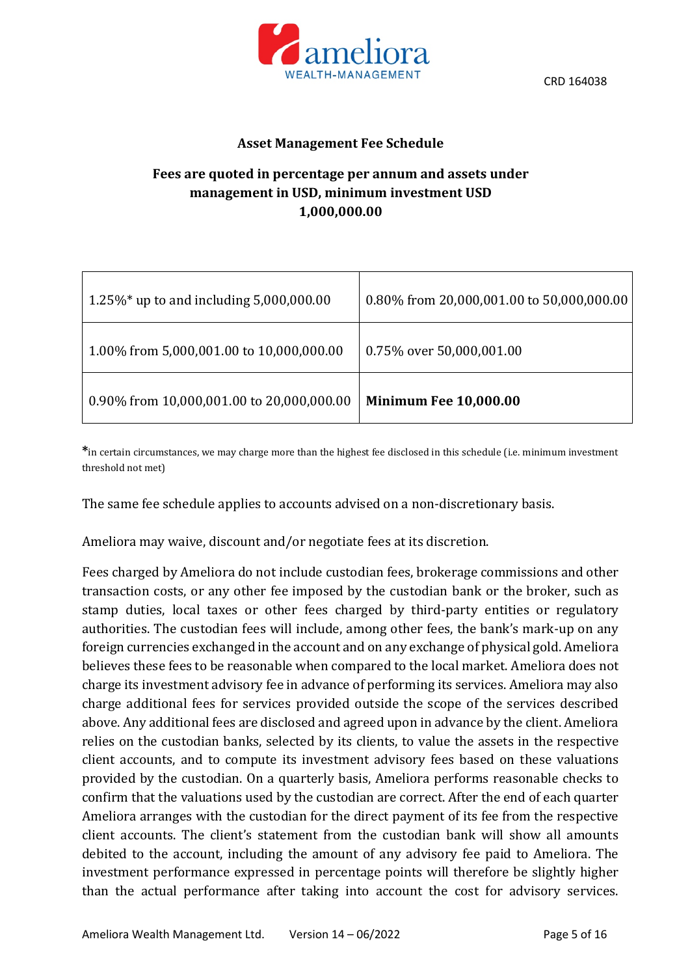

#### **Asset Management Fee Schedule**

# **Fees are quoted in percentage per annum and assets under management in USD, minimum investment USD 1,000,000.00**

| 1.25%* up to and including $5,000,000.00$ | 0.80% from 20,000,001.00 to 50,000,000.00 |
|-------------------------------------------|-------------------------------------------|
| 1.00% from 5,000,001.00 to 10,000,000.00  | 0.75% over 50,000,001.00                  |
| 0.90% from 10,000,001.00 to 20,000,000.00 | <b>Minimum Fee 10,000.00</b>              |

**\***in certain circumstances, we may charge more than the highest fee disclosed in this schedule (i.e. minimum investment threshold not met)

The same fee schedule applies to accounts advised on a non-discretionary basis.

Ameliora may waive, discount and/or negotiate fees at its discretion.

Fees charged by Ameliora do not include custodian fees, brokerage commissions and other transaction costs, or any other fee imposed by the custodian bank or the broker, such as stamp duties, local taxes or other fees charged by third-party entities or regulatory authorities. The custodian fees will include, among other fees, the bank's mark-up on any foreign currencies exchanged in the account and on any exchange of physical gold. Ameliora believes these fees to be reasonable when compared to the local market. Ameliora does not charge its investment advisory fee in advance of performing its services. Ameliora may also charge additional fees for services provided outside the scope of the services described above. Any additional fees are disclosed and agreed upon in advance by the client. Ameliora relies on the custodian banks, selected by its clients, to value the assets in the respective client accounts, and to compute its investment advisory fees based on these valuations provided by the custodian. On a quarterly basis, Ameliora performs reasonable checks to confirm that the valuations used by the custodian are correct. After the end of each quarter Ameliora arranges with the custodian for the direct payment of its fee from the respective client accounts. The client's statement from the custodian bank will show all amounts debited to the account, including the amount of any advisory fee paid to Ameliora. The investment performance expressed in percentage points will therefore be slightly higher than the actual performance after taking into account the cost for advisory services.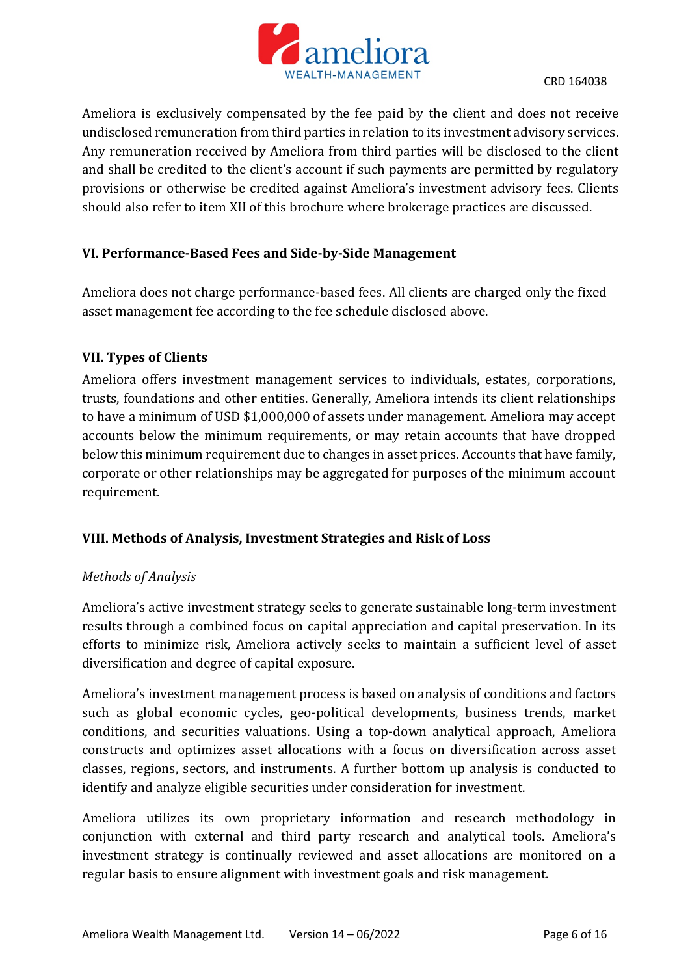

Ameliora is exclusively compensated by the fee paid by the client and does not receive undisclosed remuneration from third parties in relation to its investment advisory services. Any remuneration received by Ameliora from third parties will be disclosed to the client and shall be credited to the client's account if such payments are permitted by regulatory provisions or otherwise be credited against Ameliora's investment advisory fees. Clients should also refer to item XII of this brochure where brokerage practices are discussed.

### **VI. Performance-Based Fees and Side-by-Side Management**

Ameliora does not charge performance-based fees. All clients are charged only the fixed asset management fee according to the fee schedule disclosed above.

#### **VII. Types of Clients**

Ameliora offers investment management services to individuals, estates, corporations, trusts, foundations and other entities. Generally, Ameliora intends its client relationships to have a minimum of USD \$1,000,000 of assets under management. Ameliora may accept accounts below the minimum requirements, or may retain accounts that have dropped below this minimum requirement due to changes in asset prices. Accounts that have family, corporate or other relationships may be aggregated for purposes of the minimum account requirement.

### **VIII. Methods of Analysis, Investment Strategies and Risk of Loss**

### *Methods of Analysis*

Ameliora's active investment strategy seeks to generate sustainable long-term investment results through a combined focus on capital appreciation and capital preservation. In its efforts to minimize risk, Ameliora actively seeks to maintain a sufficient level of asset diversification and degree of capital exposure.

Ameliora's investment management process is based on analysis of conditions and factors such as global economic cycles, geo-political developments, business trends, market conditions, and securities valuations. Using a top-down analytical approach, Ameliora constructs and optimizes asset allocations with a focus on diversification across asset classes, regions, sectors, and instruments. A further bottom up analysis is conducted to identify and analyze eligible securities under consideration for investment.

Ameliora utilizes its own proprietary information and research methodology in conjunction with external and third party research and analytical tools. Ameliora's investment strategy is continually reviewed and asset allocations are monitored on a regular basis to ensure alignment with investment goals and risk management.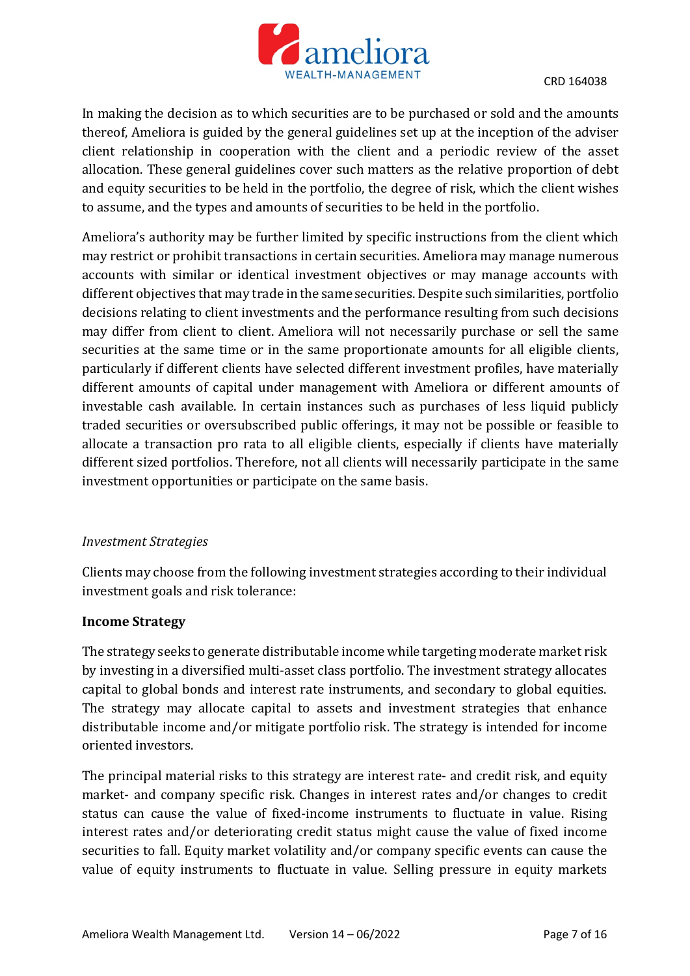

In making the decision as to which securities are to be purchased or sold and the amounts thereof, Ameliora is guided by the general guidelines set up at the inception of the adviser client relationship in cooperation with the client and a periodic review of the asset allocation. These general guidelines cover such matters as the relative proportion of debt and equity securities to be held in the portfolio, the degree of risk, which the client wishes to assume, and the types and amounts of securities to be held in the portfolio.

Ameliora's authority may be further limited by specific instructions from the client which may restrict or prohibit transactions in certain securities. Ameliora may manage numerous accounts with similar or identical investment objectives or may manage accounts with different objectives that may trade in the same securities. Despite such similarities, portfolio decisions relating to client investments and the performance resulting from such decisions may differ from client to client. Ameliora will not necessarily purchase or sell the same securities at the same time or in the same proportionate amounts for all eligible clients, particularly if different clients have selected different investment profiles, have materially different amounts of capital under management with Ameliora or different amounts of investable cash available. In certain instances such as purchases of less liquid publicly traded securities or oversubscribed public offerings, it may not be possible or feasible to allocate a transaction pro rata to all eligible clients, especially if clients have materially different sized portfolios. Therefore, not all clients will necessarily participate in the same investment opportunities or participate on the same basis.

#### *Investment Strategies*

Clients may choose from the following investment strategies according to their individual investment goals and risk tolerance:

#### **Income Strategy**

The strategy seeks to generate distributable income while targeting moderate market risk by investing in a diversified multi-asset class portfolio. The investment strategy allocates capital to global bonds and interest rate instruments, and secondary to global equities. The strategy may allocate capital to assets and investment strategies that enhance distributable income and/or mitigate portfolio risk. The strategy is intended for income oriented investors.

The principal material risks to this strategy are interest rate- and credit risk, and equity market- and company specific risk. Changes in interest rates and/or changes to credit status can cause the value of fixed-income instruments to fluctuate in value. Rising interest rates and/or deteriorating credit status might cause the value of fixed income securities to fall. Equity market volatility and/or company specific events can cause the value of equity instruments to fluctuate in value. Selling pressure in equity markets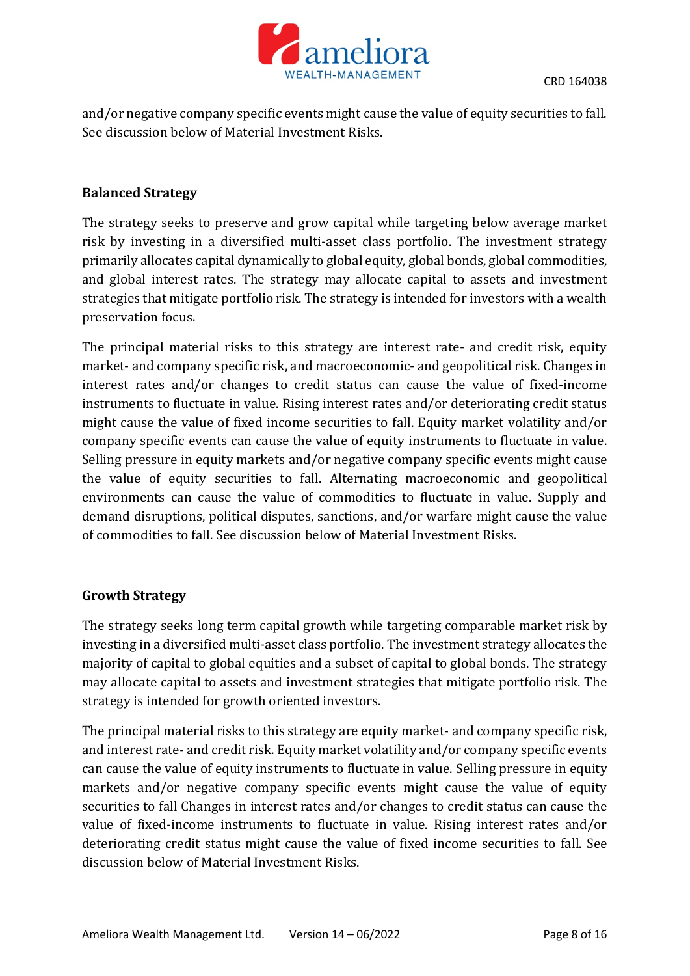

and/or negative company specific events might cause the value of equity securities to fall. See discussion below of Material Investment Risks.

### **Balanced Strategy**

The strategy seeks to preserve and grow capital while targeting below average market risk by investing in a diversified multi-asset class portfolio. The investment strategy primarily allocates capital dynamically to global equity, global bonds, global commodities, and global interest rates. The strategy may allocate capital to assets and investment strategies that mitigate portfolio risk. The strategy is intended for investors with a wealth preservation focus.

The principal material risks to this strategy are interest rate- and credit risk, equity market- and company specific risk, and macroeconomic- and geopolitical risk. Changes in interest rates and/or changes to credit status can cause the value of fixed-income instruments to fluctuate in value. Rising interest rates and/or deteriorating credit status might cause the value of fixed income securities to fall. Equity market volatility and/or company specific events can cause the value of equity instruments to fluctuate in value. Selling pressure in equity markets and/or negative company specific events might cause the value of equity securities to fall. Alternating macroeconomic and geopolitical environments can cause the value of commodities to fluctuate in value. Supply and demand disruptions, political disputes, sanctions, and/or warfare might cause the value of commodities to fall. See discussion below of Material Investment Risks.

### **Growth Strategy**

The strategy seeks long term capital growth while targeting comparable market risk by investing in a diversified multi-asset class portfolio. The investment strategy allocates the majority of capital to global equities and a subset of capital to global bonds. The strategy may allocate capital to assets and investment strategies that mitigate portfolio risk. The strategy is intended for growth oriented investors.

The principal material risks to this strategy are equity market- and company specific risk, and interest rate- and credit risk. Equity market volatility and/or company specific events can cause the value of equity instruments to fluctuate in value. Selling pressure in equity markets and/or negative company specific events might cause the value of equity securities to fall Changes in interest rates and/or changes to credit status can cause the value of fixed-income instruments to fluctuate in value. Rising interest rates and/or deteriorating credit status might cause the value of fixed income securities to fall. See discussion below of Material Investment Risks.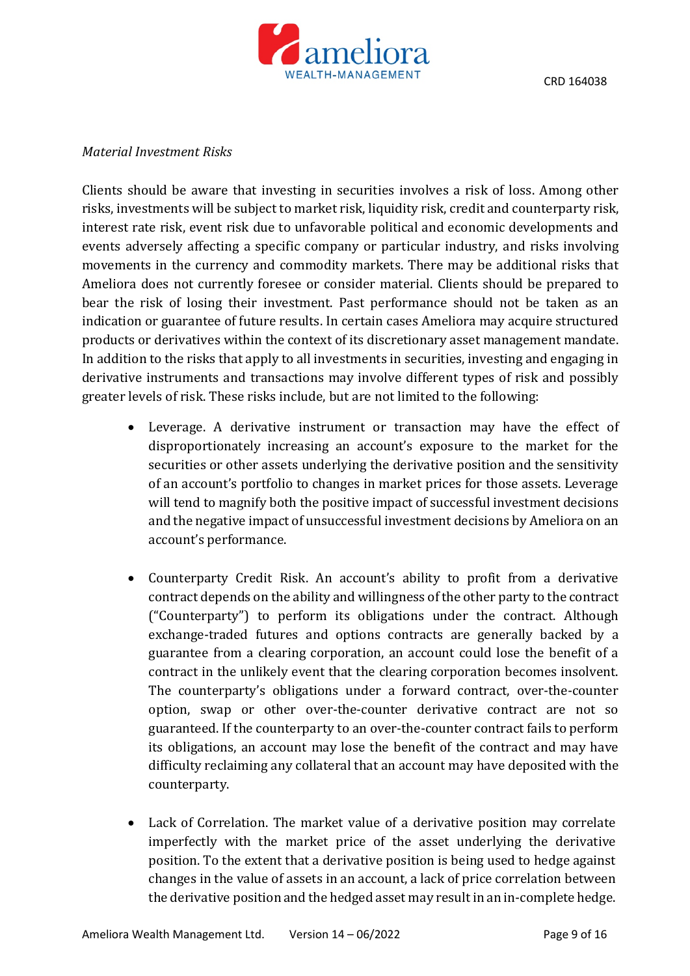

#### *Material Investment Risks*

Clients should be aware that investing in securities involves a risk of loss. Among other risks, investments will be subject to market risk, liquidity risk, credit and counterparty risk, interest rate risk, event risk due to unfavorable political and economic developments and events adversely affecting a specific company or particular industry, and risks involving movements in the currency and commodity markets. There may be additional risks that Ameliora does not currently foresee or consider material. Clients should be prepared to bear the risk of losing their investment. Past performance should not be taken as an indication or guarantee of future results. In certain cases Ameliora may acquire structured products or derivatives within the context of its discretionary asset management mandate. In addition to the risks that apply to all investments in securities, investing and engaging in derivative instruments and transactions may involve different types of risk and possibly greater levels of risk. These risks include, but are not limited to the following:

- Leverage. A derivative instrument or transaction may have the effect of disproportionately increasing an account's exposure to the market for the securities or other assets underlying the derivative position and the sensitivity of an account's portfolio to changes in market prices for those assets. Leverage will tend to magnify both the positive impact of successful investment decisions and the negative impact of unsuccessful investment decisions by Ameliora on an account's performance.
- Counterparty Credit Risk. An account's ability to profit from a derivative contract depends on the ability and willingness of the other party to the contract ("Counterparty") to perform its obligations under the contract. Although exchange-traded futures and options contracts are generally backed by a guarantee from a clearing corporation, an account could lose the benefit of a contract in the unlikely event that the clearing corporation becomes insolvent. The counterparty's obligations under a forward contract, over-the-counter option, swap or other over-the-counter derivative contract are not so guaranteed. If the counterparty to an over-the-counter contract fails to perform its obligations, an account may lose the benefit of the contract and may have difficulty reclaiming any collateral that an account may have deposited with the counterparty.
- Lack of Correlation. The market value of a derivative position may correlate imperfectly with the market price of the asset underlying the derivative position. To the extent that a derivative position is being used to hedge against changes in the value of assets in an account, a lack of price correlation between the derivative position and the hedged asset may result in an in-complete hedge.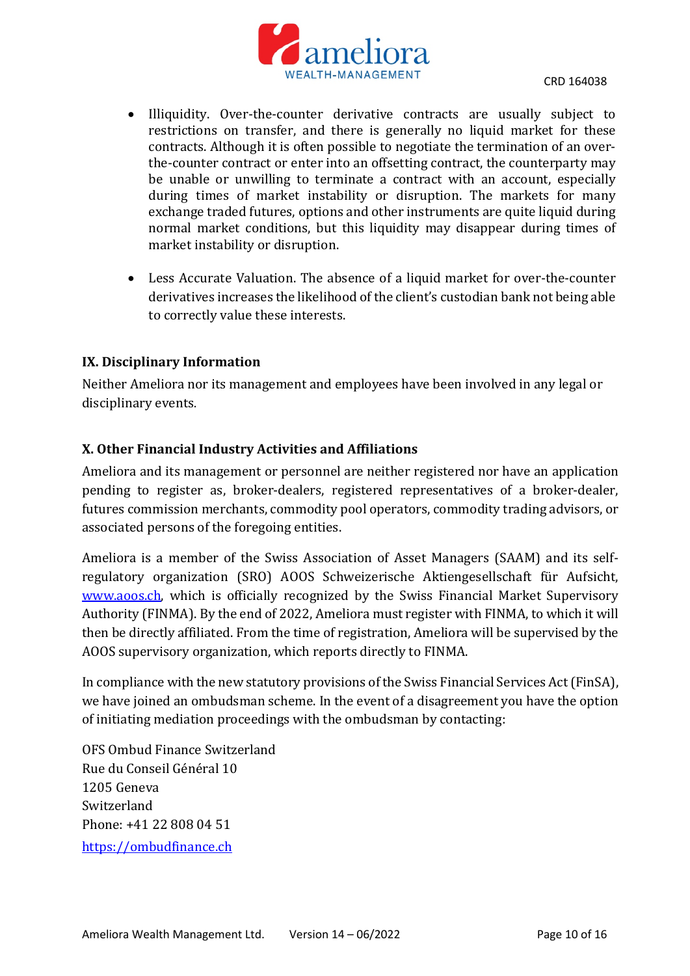

- Illiquidity. Over-the-counter derivative contracts are usually subject to restrictions on transfer, and there is generally no liquid market for these contracts. Although it is often possible to negotiate the termination of an overthe-counter contract or enter into an offsetting contract, the counterparty may be unable or unwilling to terminate a contract with an account, especially during times of market instability or disruption. The markets for many exchange traded futures, options and other instruments are quite liquid during normal market conditions, but this liquidity may disappear during times of market instability or disruption.
- Less Accurate Valuation. The absence of a liquid market for over-the-counter derivatives increases the likelihood of the client's custodian bank not being able to correctly value these interests.

### **IX. Disciplinary Information**

Neither Ameliora nor its management and employees have been involved in any legal or disciplinary events.

# **X. Other Financial Industry Activities and Affiliations**

Ameliora and its management or personnel are neither registered nor have an application pending to register as, broker-dealers, registered representatives of a broker-dealer, futures commission merchants, commodity pool operators, commodity trading advisors, or associated persons of the foregoing entities.

Ameliora is a member of the Swiss Association of Asset Managers (SAAM) and its selfregulatory organization (SRO) AOOS Schweizerische Aktiengesellschaft für Aufsicht, [www.aoos.ch,](http://www.aoos.ch/) which is officially recognized by the Swiss Financial Market Supervisory Authority (FINMA). By the end of 2022, Ameliora must register with FINMA, to which it will then be directly affiliated. From the time of registration, Ameliora will be supervised by the AOOS supervisory organization, which reports directly to FINMA.

In compliance with the new statutory provisions of the Swiss Financial Services Act (FinSA), we have joined an ombudsman scheme. In the event of a disagreement you have the option of initiating mediation proceedings with the ombudsman by contacting:

OFS Ombud Finance Switzerland Rue du Conseil Général 10 1205 Geneva Switzerland Phone: +41 22 808 04 51 [https://ombudfinance.ch](https://ombudfinance.ch/)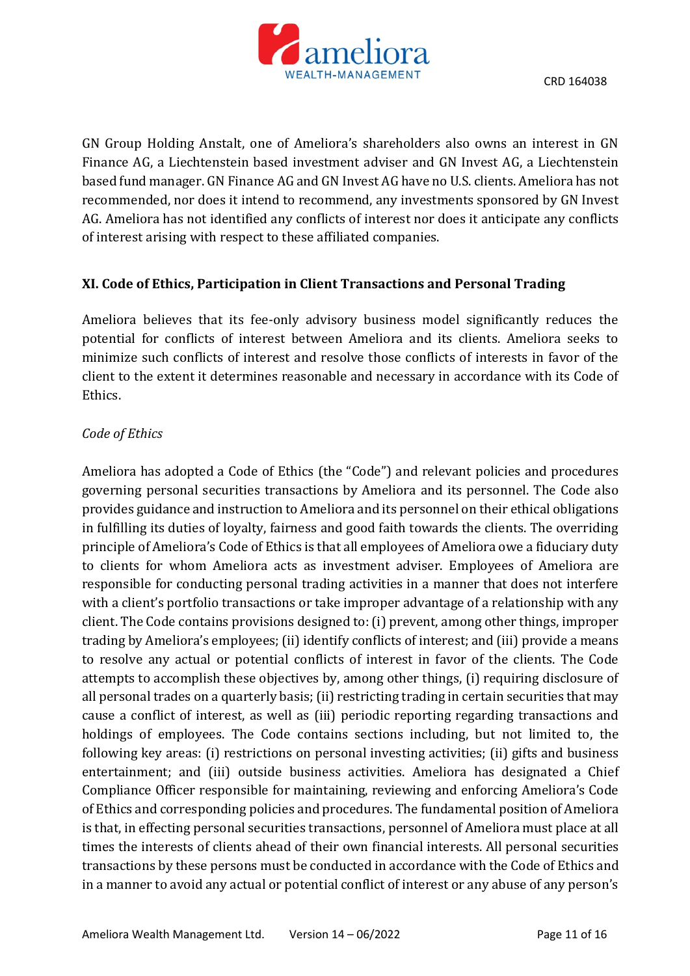

GN Group Holding Anstalt, one of Ameliora's shareholders also owns an interest in GN Finance AG, a Liechtenstein based investment adviser and GN Invest AG, a Liechtenstein based fund manager. GN Finance AG and GN Invest AG have no U.S. clients. Ameliora has not recommended, nor does it intend to recommend, any investments sponsored by GN Invest AG. Ameliora has not identified any conflicts of interest nor does it anticipate any conflicts of interest arising with respect to these affiliated companies.

#### **XI. Code of Ethics, Participation in Client Transactions and Personal Trading**

Ameliora believes that its fee-only advisory business model significantly reduces the potential for conflicts of interest between Ameliora and its clients. Ameliora seeks to minimize such conflicts of interest and resolve those conflicts of interests in favor of the client to the extent it determines reasonable and necessary in accordance with its Code of Ethics.

### *Code of Ethics*

Ameliora has adopted a Code of Ethics (the "Code") and relevant policies and procedures governing personal securities transactions by Ameliora and its personnel. The Code also provides guidance and instruction to Ameliora and its personnel on their ethical obligations in fulfilling its duties of loyalty, fairness and good faith towards the clients. The overriding principle of Ameliora's Code of Ethics is that all employees of Ameliora owe a fiduciary duty to clients for whom Ameliora acts as investment adviser. Employees of Ameliora are responsible for conducting personal trading activities in a manner that does not interfere with a client's portfolio transactions or take improper advantage of a relationship with any client. The Code contains provisions designed to: (i) prevent, among other things, improper trading by Ameliora's employees; (ii) identify conflicts of interest; and (iii) provide a means to resolve any actual or potential conflicts of interest in favor of the clients. The Code attempts to accomplish these objectives by, among other things, (i) requiring disclosure of all personal trades on a quarterly basis; (ii) restricting trading in certain securities that may cause a conflict of interest, as well as (iii) periodic reporting regarding transactions and holdings of employees. The Code contains sections including, but not limited to, the following key areas: (i) restrictions on personal investing activities; (ii) gifts and business entertainment; and (iii) outside business activities. Ameliora has designated a Chief Compliance Officer responsible for maintaining, reviewing and enforcing Ameliora's Code of Ethics and corresponding policies and procedures. The fundamental position of Ameliora is that, in effecting personal securities transactions, personnel of Ameliora must place at all times the interests of clients ahead of their own financial interests. All personal securities transactions by these persons must be conducted in accordance with the Code of Ethics and in a manner to avoid any actual or potential conflict of interest or any abuse of any person's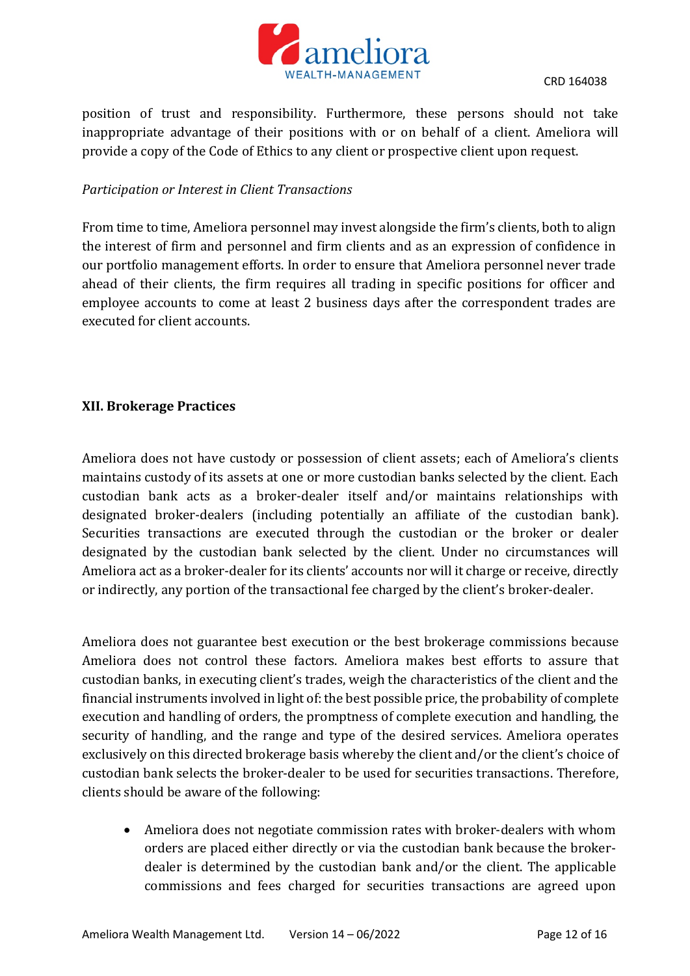

position of trust and responsibility. Furthermore, these persons should not take inappropriate advantage of their positions with or on behalf of a client. Ameliora will provide a copy of the Code of Ethics to any client or prospective client upon request.

#### *Participation or Interest in Client Transactions*

From time to time, Ameliora personnel may invest alongside the firm's clients, both to align the interest of firm and personnel and firm clients and as an expression of confidence in our portfolio management efforts. In order to ensure that Ameliora personnel never trade ahead of their clients, the firm requires all trading in specific positions for officer and employee accounts to come at least 2 business days after the correspondent trades are executed for client accounts.

### **XII. Brokerage Practices**

Ameliora does not have custody or possession of client assets; each of Ameliora's clients maintains custody of its assets at one or more custodian banks selected by the client. Each custodian bank acts as a broker-dealer itself and/or maintains relationships with designated broker-dealers (including potentially an affiliate of the custodian bank). Securities transactions are executed through the custodian or the broker or dealer designated by the custodian bank selected by the client. Under no circumstances will Ameliora act as a broker-dealer for its clients' accounts nor will it charge or receive, directly or indirectly, any portion of the transactional fee charged by the client's broker-dealer.

Ameliora does not guarantee best execution or the best brokerage commissions because Ameliora does not control these factors. Ameliora makes best efforts to assure that custodian banks, in executing client's trades, weigh the characteristics of the client and the financial instruments involved in light of: the best possible price, the probability of complete execution and handling of orders, the promptness of complete execution and handling, the security of handling, and the range and type of the desired services. Ameliora operates exclusively on this directed brokerage basis whereby the client and/or the client's choice of custodian bank selects the broker-dealer to be used for securities transactions. Therefore, clients should be aware of the following:

 Ameliora does not negotiate commission rates with broker-dealers with whom orders are placed either directly or via the custodian bank because the brokerdealer is determined by the custodian bank and/or the client. The applicable commissions and fees charged for securities transactions are agreed upon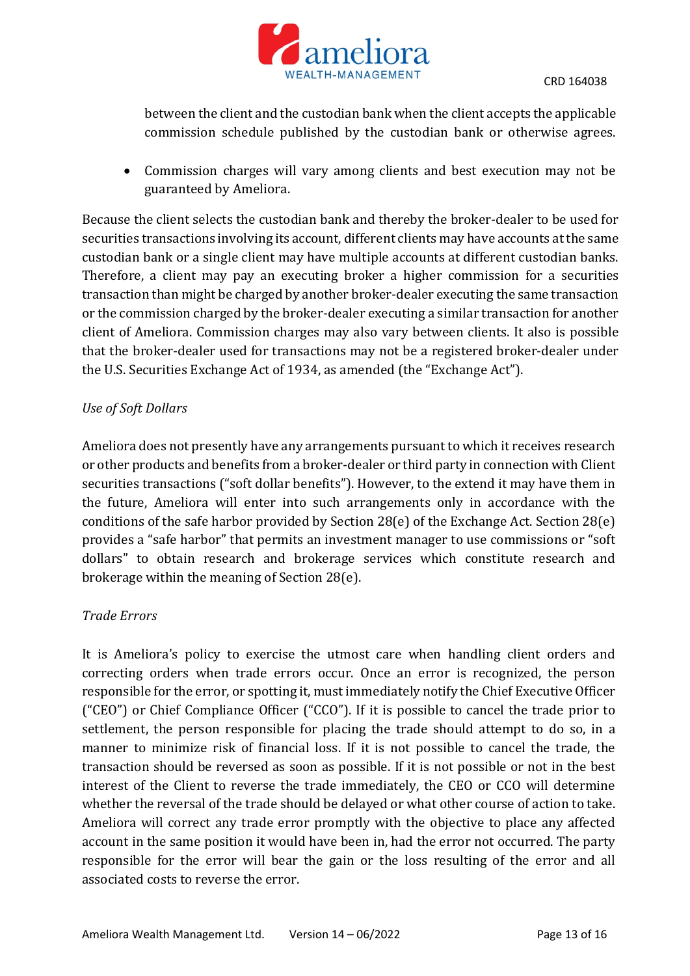

between the client and the custodian bank when the client accepts the applicable commission schedule published by the custodian bank or otherwise agrees.

 Commission charges will vary among clients and best execution may not be guaranteed by Ameliora.

Because the client selects the custodian bank and thereby the broker-dealer to be used for securities transactions involving its account, different clients may have accounts at the same custodian bank or a single client may have multiple accounts at different custodian banks. Therefore, a client may pay an executing broker a higher commission for a securities transaction than might be charged by another broker-dealer executing the same transaction or the commission charged by the broker-dealer executing a similar transaction for another client of Ameliora. Commission charges may also vary between clients. It also is possible that the broker-dealer used for transactions may not be a registered broker-dealer under the U.S. Securities Exchange Act of 1934, as amended (the "Exchange Act").

# *Use of Soft Dollars*

Ameliora does not presently have any arrangements pursuant to which it receives research or other products and benefits from a broker-dealer or third party in connection with Client securities transactions ("soft dollar benefits"). However, to the extend it may have them in the future, Ameliora will enter into such arrangements only in accordance with the conditions of the safe harbor provided by Section 28(e) of the Exchange Act. Section 28(e) provides a "safe harbor" that permits an investment manager to use commissions or "soft dollars" to obtain research and brokerage services which constitute research and brokerage within the meaning of Section 28(e).

### *Trade Errors*

It is Ameliora's policy to exercise the utmost care when handling client orders and correcting orders when trade errors occur. Once an error is recognized, the person responsible for the error, or spotting it, must immediately notify the Chief Executive Officer ("CEO") or Chief Compliance Officer ("CCO"). If it is possible to cancel the trade prior to settlement, the person responsible for placing the trade should attempt to do so, in a manner to minimize risk of financial loss. If it is not possible to cancel the trade, the transaction should be reversed as soon as possible. If it is not possible or not in the best interest of the Client to reverse the trade immediately, the CEO or CCO will determine whether the reversal of the trade should be delayed or what other course of action to take. Ameliora will correct any trade error promptly with the objective to place any affected account in the same position it would have been in, had the error not occurred. The party responsible for the error will bear the gain or the loss resulting of the error and all associated costs to reverse the error.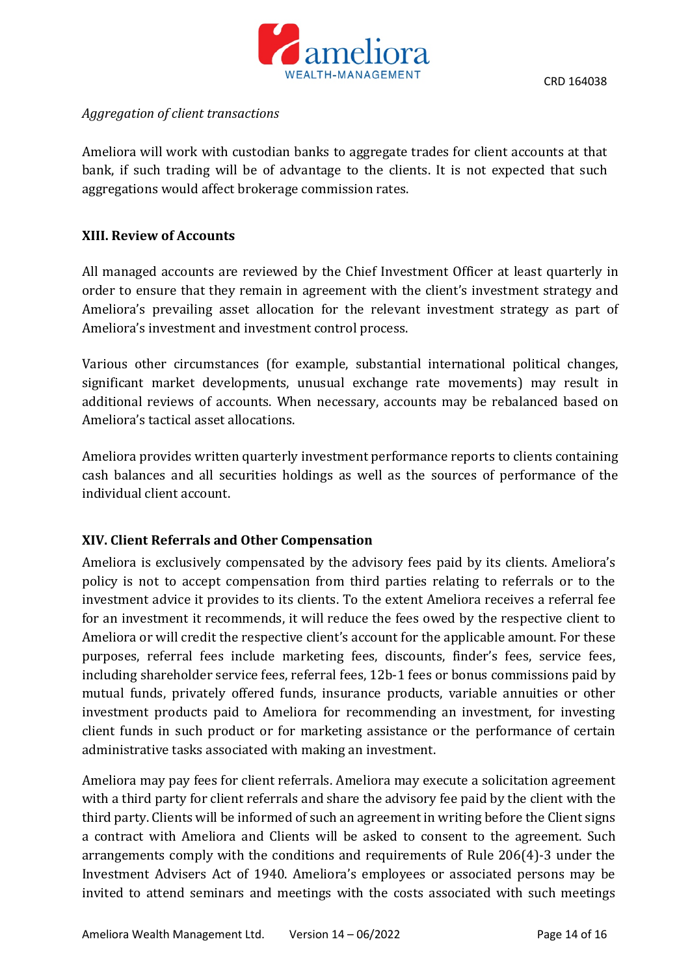

### *Aggregation of client transactions*

Ameliora will work with custodian banks to aggregate trades for client accounts at that bank, if such trading will be of advantage to the clients. It is not expected that such aggregations would affect brokerage commission rates.

### **XIII. Review of Accounts**

All managed accounts are reviewed by the Chief Investment Officer at least quarterly in order to ensure that they remain in agreement with the client's investment strategy and Ameliora's prevailing asset allocation for the relevant investment strategy as part of Ameliora's investment and investment control process.

Various other circumstances (for example, substantial international political changes, significant market developments, unusual exchange rate movements) may result in additional reviews of accounts. When necessary, accounts may be rebalanced based on Ameliora's tactical asset allocations.

Ameliora provides written quarterly investment performance reports to clients containing cash balances and all securities holdings as well as the sources of performance of the individual client account.

### **XIV. Client Referrals and Other Compensation**

Ameliora is exclusively compensated by the advisory fees paid by its clients. Ameliora's policy is not to accept compensation from third parties relating to referrals or to the investment advice it provides to its clients. To the extent Ameliora receives a referral fee for an investment it recommends, it will reduce the fees owed by the respective client to Ameliora or will credit the respective client's account for the applicable amount. For these purposes, referral fees include marketing fees, discounts, finder's fees, service fees, including shareholder service fees, referral fees, 12b-1 fees or bonus commissions paid by mutual funds, privately offered funds, insurance products, variable annuities or other investment products paid to Ameliora for recommending an investment, for investing client funds in such product or for marketing assistance or the performance of certain administrative tasks associated with making an investment.

Ameliora may pay fees for client referrals. Ameliora may execute a solicitation agreement with a third party for client referrals and share the advisory fee paid by the client with the third party. Clients will be informed of such an agreement in writing before the Client signs a contract with Ameliora and Clients will be asked to consent to the agreement. Such arrangements comply with the conditions and requirements of Rule 206(4)-3 under the Investment Advisers Act of 1940. Ameliora's employees or associated persons may be invited to attend seminars and meetings with the costs associated with such meetings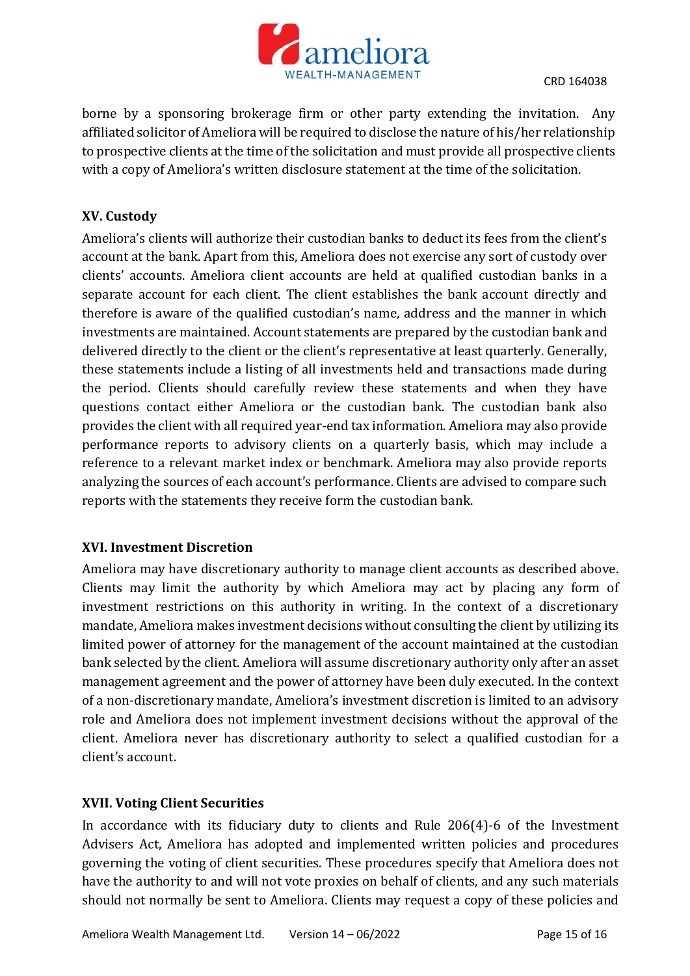

borne by a sponsoring brokerage firm or other party extending the invitation. Any affiliated solicitor of Ameliora will be required to disclose the nature of his/her relationship to prospective clients at the time of the solicitation and must provide all prospective clients with a copy of Ameliora's written disclosure statement at the time of the solicitation.

# **XV. Custody**

Ameliora's clients will authorize their custodian banks to deduct its fees from the client's account at the bank. Apart from this, Ameliora does not exercise any sort of custody over clients' accounts. Ameliora client accounts are held at qualified custodian banks in a separate account for each client. The client establishes the bank account directly and therefore is aware of the qualified custodian's name, address and the manner in which investments are maintained. Account statements are prepared by the custodian bank and delivered directly to the client or the client's representative at least quarterly. Generally, these statements include a listing of all investments held and transactions made during the period. Clients should carefully review these statements and when they have questions contact either Ameliora or the custodian bank. The custodian bank also provides the client with all required year-end tax information. Ameliora may also provide performance reports to advisory clients on a quarterly basis, which may include a reference to a relevant market index or benchmark. Ameliora may also provide reports analyzing the sources of each account's performance. Clients are advised to compare such reports with the statements they receive form the custodian bank.

### **XVI. Investment Discretion**

Ameliora may have discretionary authority to manage client accounts as described above. Clients may limit the authority by which Ameliora may act by placing any form of investment restrictions on this authority in writing. In the context of a discretionary mandate, Ameliora makes investment decisions without consulting the client by utilizing its limited power of attorney for the management of the account maintained at the custodian bank selected by the client. Ameliora will assume discretionary authority only after an asset management agreement and the power of attorney have been duly executed. In the context of a non-discretionary mandate, Ameliora's investment discretion is limited to an advisory role and Ameliora does not implement investment decisions without the approval of the client. Ameliora never has discretionary authority to select a qualified custodian for a client's account.

### **XVII. Voting Client Securities**

In accordance with its fiduciary duty to clients and Rule 206(4)-6 of the Investment Advisers Act, Ameliora has adopted and implemented written policies and procedures governing the voting of client securities. These procedures specify that Ameliora does not have the authority to and will not vote proxies on behalf of clients, and any such materials should not normally be sent to Ameliora. Clients may request a copy of these policies and